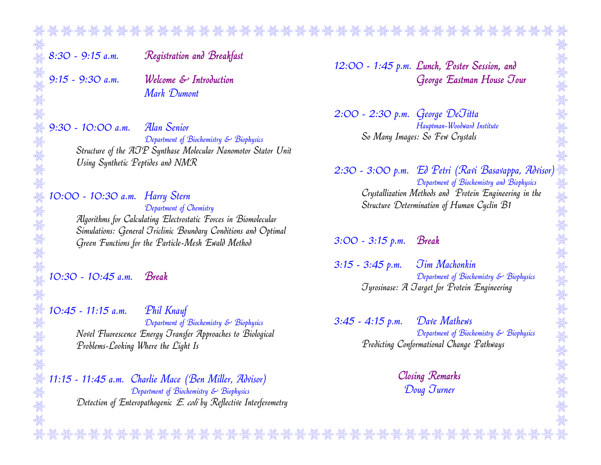8:30 - 9:15 a.m. Registration and Breakfast

9:15 - 9:30 a.m. Welcome & Introduction Mark Dumont

9:30 - 10:00 a.m. Alan Senior Department of Biochemistry & Biophysics Structure of the ATP Synthase Molecular Nanomotor Stator Unit Using Synthetic Peptides and NMR

10:00 - 10:30 a.m. Harry Stern Department of Chemistry Algorithms for Calculating Electrostatic Forces in Biomolecular Simulations: General Triclinic Boundary Conditions and Optimal Green Functions for the Particle-Mesh Ewald Method

10:30 - 10:45 a.m. Break

10:45 - 11:15 a.m. Phil Knauf Department of Biochemistry & Biophysics Novel Fluorescence Energy Transfer Approaches to Biological Problems-Looking Where the Light Is

11:15 - 11:45 a.m. Charlie Mace (Ben Miller, Advisor) Department of Biochemistry & Biophysics Detection of Enteropathogenic E. coli by Reflective Interferometry 12:00 - 1:45 p.m. Lunch, Poster Session, and George Eastman House Tour

2:00 - 2:30 p.m. George DeTitta Hauptman-Woodward Institute So Many Images: So Few Crystals

2:30 - 3:00 p.m. Ed Petri (Ravi Basavappa, Advisor) Department of Biochemistry and Biophysics Crystallization Methods and Protein Engineering in the Structure Determination of Human Cyclin B1

3:00 - 3:15 p.m. Break

3:15 - 3:45 p.m. Tim Machonkin Department of Biochemistry & Biophysics Tyrosinase: A Target for Protein Engineering

3:45 - 4:15 p.m. Dave Mathews Department of Biochemistry & Biophysics Predicting Conformational Change Pathways

> Closing Remarks Doug Turner